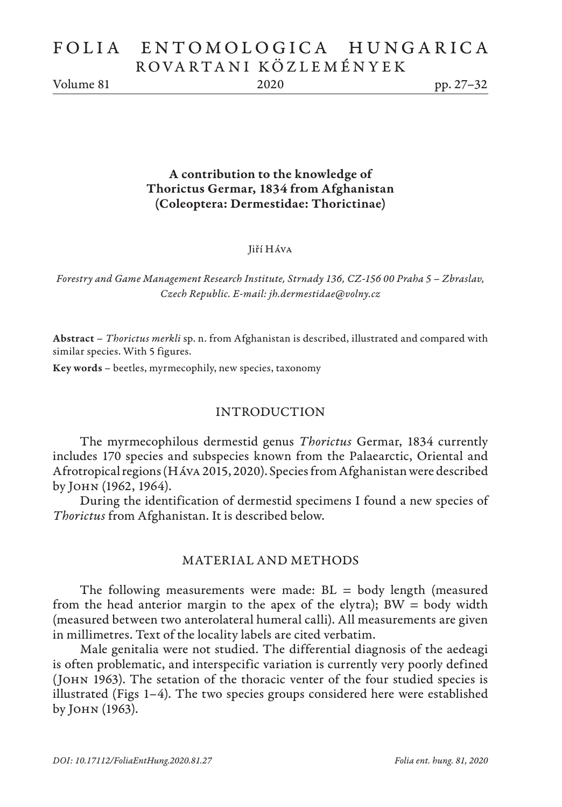# FOLIA ENTOMOLOGICA HUNGARICA ROVARTANI KÖZLEMÉNYEK

Volume 81 2020 pp. 27–32

A contribution to the knowledge of Thorictus Germar, 1834 from Afghanistan (Coleoptera: Dermestidae: Thorictinae)

#### Jiří Háva

*Forestry and Game Management Research Institute, Strnady 136, CZ-156 00 Praha 5 – Zbraslav, Czech Republic. E-mail: jh.dermestidae@volny.cz*

Abstract – *Thorictus merkli* sp. n. from Afghanistan is described, illustrated and compared with similar species. With 5 figures.

Key words – beetles, myrmecophily, new species, taxonomy

### INTRODUCTION

The myrmecophilous dermestid genus *Thorictus* Germar, 1834 currently includes 170 species and subspecies known from the Palaearctic, Oriental and Afrotropical regions (Háva 2015, 2020). Species from Afghanistan were described by John (1962, 1964).

During the identification of dermestid specimens I found a new species of *Thorictus* from Afghanistan. It is described below.

### MATERIAL AND METHODS

The following measurements were made:  $BL = body$  length (measured from the head anterior margin to the apex of the elytra);  $BW = body$  width (measured between two anterolateral humeral calli). All measurements are given in millimetres. Text of the locality labels are cited verbatim.

Male genitalia were not studied. The differential diagnosis of the aedeagi is often problematic, and interspecific variation is currently very poorly defined (John 1963). The setation of the thoracic venter of the four studied species is illustrated (Figs 1–4). The two species groups considered here were established by John (1963).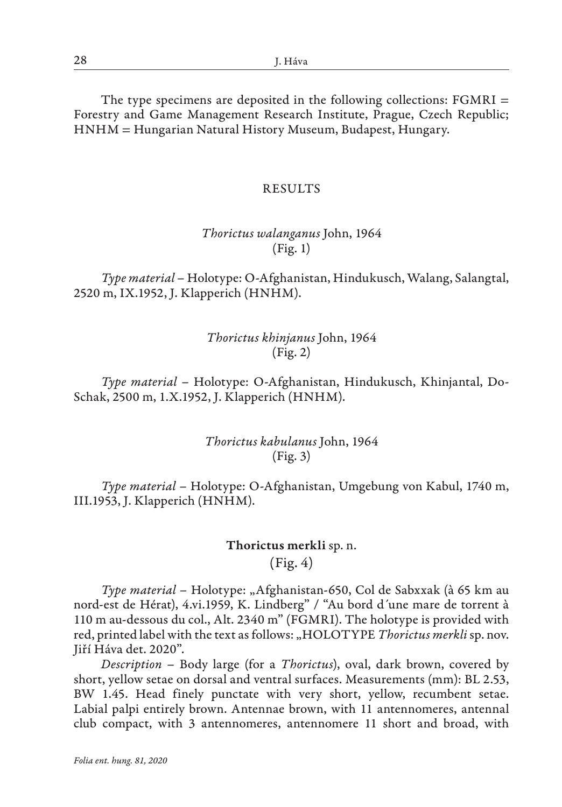The type specimens are deposited in the following collections: FGMRI = Forestry and Game Management Research Institute, Prague, Czech Republic; HNHM = Hungarian Natural History Museum, Budapest, Hungary.

### RESULTS

## *Thorictus walanganus* John, 1964 (Fig. 1)

*Type material* – Holotype: O-Afghanistan, Hindukusch, Walang, Salangtal, 2520 m, IX.1952, J. Klapperich (HNHM).

## *Thorictus khinjanus* John, 1964 (Fig. 2)

*Type material* – Holotype: O-Afghanistan, Hindukusch, Khinjantal, Do-Schak, 2500 m, 1.X.1952, J. Klapperich (HNHM).

> *Thorictus kabulanus* John, 1964 (Fig. 3)

*Type material* – Holotype: O-Afghanistan, Umgebung von Kabul, 1740 m, III.1953, J. Klapperich (HNHM).

## Thorictus merkli sp. n.

(Fig. 4)

*Type material* – Holotype: "Afghanistan-650, Col de Sabxxak (à 65 km au nord-est de Hérat), 4.vi.1959, K. Lindberg" / "Au bord d´une mare de torrent à 110 m au-dessous du col., Alt. 2340 m" (FGMRI). The holotype is provided with red, printed label with the text as follows: "HOLOTYPE *Thorictus merkli* sp. nov. Jiří Háva det. 2020".

*Description* – Body large (for a *Thorictus*), oval, dark brown, covered by short, yellow setae on dorsal and ventral surfaces. Measurements (mm): BL 2.53, BW 1.45. Head finely punctate with very short, yellow, recumbent setae. Labial palpi entirely brown. Antennae brown, with 11 antennomeres, antennal club compact, with 3 antennomeres, antennomere 11 short and broad, with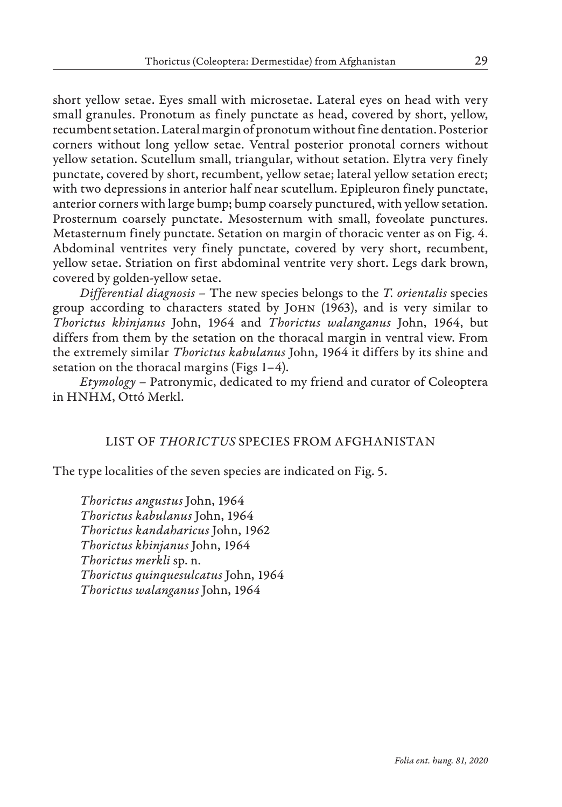short yellow setae. Eyes small with microsetae. Lateral eyes on head with very small granules. Pronotum as finely punctate as head, covered by short, yellow, recumbent setation. Lateral margin of pronotum without fine dentation. Posterior corners without long yellow setae. Ventral posterior pronotal corners without yellow setation. Scutellum small, triangular, without setation. Elytra very finely punctate, covered by short, recumbent, yellow setae; lateral yellow setation erect; with two depressions in anterior half near scutellum. Epipleuron finely punctate, anterior corners with large bump; bump coarsely punctured, with yellow setation. Prosternum coarsely punctate. Mesosternum with small, foveolate punctures. Metasternum finely punctate. Setation on margin of thoracic venter as on Fig. 4. Abdominal ventrites very finely punctate, covered by very short, recumbent, yellow setae. Striation on first abdominal ventrite very short. Legs dark brown, covered by golden-yellow setae.

*Differential diagnosis* – The new species belongs to the *T. orientalis* species group according to characters stated by John (1963), and is very similar to *Thorictus khinjanus* John, 1964 and *Thorictus walanganus* John, 1964, but differs from them by the setation on the thoracal margin in ventral view. From the extremely similar *Thorictus kabulanus* John, 1964 it differs by its shine and setation on the thoracal margins (Figs 1–4).

*Etymology* – Patronymic, dedicated to my friend and curator of Coleoptera in HNHM, Ottó Merkl.

### LIST OF *THORICTUS* SPECIES FROM AFGHANISTAN

The type localities of the seven species are indicated on Fig. 5.

*Thorictus angustus* John, 1964 *Thorictus kabulanus* John, 1964 *Thorictus kandaharicus* John, 1962 *Thorictus khinjanus* John, 1964 *Thorictus merkli* sp. n. *Thorictus quinquesulcatus* John, 1964 *Thorictus walanganus* John, 1964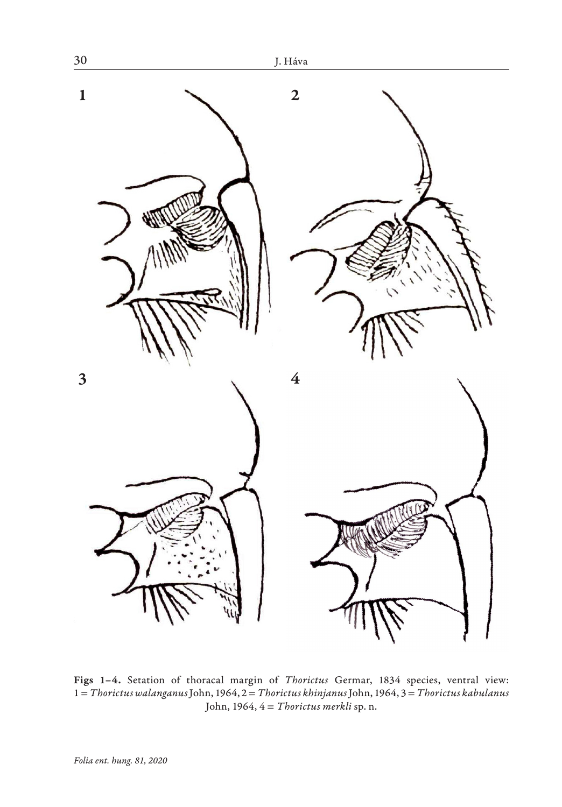

Figs 1–4. Setation of thoracal margin of *Thorictus* Germar, 1834 species, ventral view: 1 = *Thorictus walanganus* John, 1964, 2 = *Thorictus khinjanus* John, 1964, 3 = *Thorictus kabulanus* John, 1964, 4 = *Thorictus merkli* sp. n.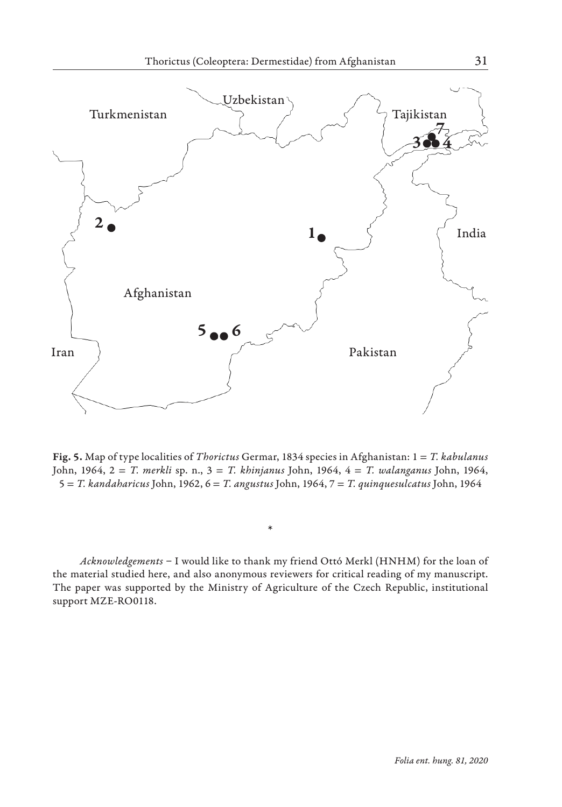

Fig. 5. Map of type localities of *Thorictus* Germar, 1834 species in Afghanistan: 1 = *T. kabulanus* John, 1964, 2 = *T. merkli* sp. n., 3 = *T. khinjanus* John, 1964, 4 = *T. walanganus* John, 1964, 5 = *T. kandaharicus* John, 1962, 6 = *T. angustus* John, 1964, 7 = *T. quinquesulcatus* John, 1964

*Acknowledgements* – I would like to thank my friend Ottó Merkl (HNHM) for the loan of the material studied here, and also anonymous reviewers for critical reading of my manuscript. The paper was supported by the Ministry of Agriculture of the Czech Republic, institutional support MZE-RO0118.

\*